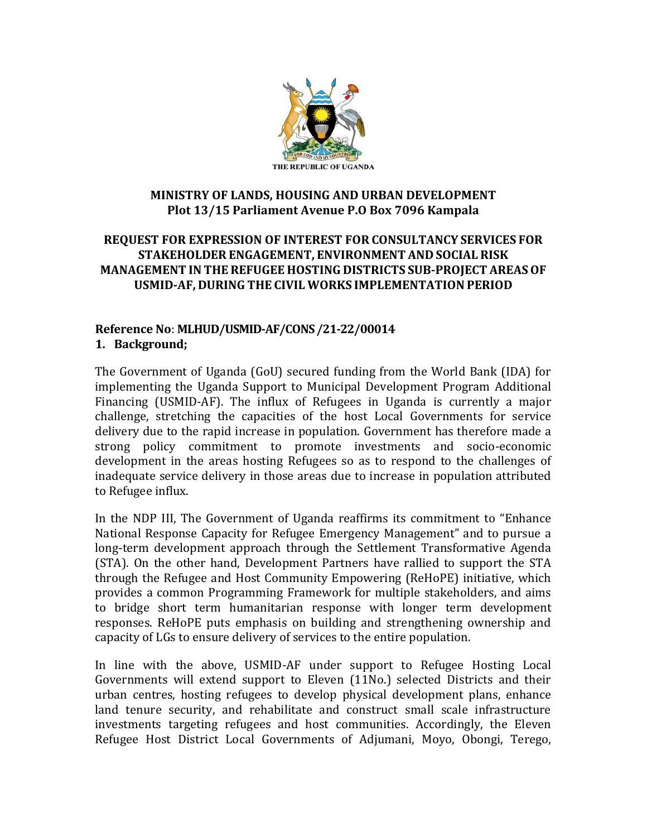

#### **MINISTRY OF LANDS, HOUSING AND URBAN DEVELOPMENT Plot 13/15 Parliament Avenue P.O Box 7096 Kampala**

#### **REQUEST FOR EXPRESSION OF INTEREST FOR CONSULTANCY SERVICES FOR STAKEHOLDER ENGAGEMENT, ENVIRONMENT AND SOCIAL RISK MANAGEMENT IN THEREFUGEE HOSTING DISTRICTS SUB-PROJECT AREASOF USMID-AF, DURING THE CIVIL WORKS IMPLEMENTATION PERIOD**

#### **Reference No**: **MLHUD/USMID-AF/CONS /21-22/00014 1. Background;**

The Government of Uganda (GoU) secured funding from the World Bank (IDA) for implementing the Uganda Support to Municipal Development Program Additional Financing (USMID-AF). The influx of Refugees in Uganda is currently a major challenge, stretching the capacities of the host Local Governments for service delivery due to the rapid increase in population. Government has therefore made a strong policy commitment to promote investments and socio-economic development in the areas hosting Refugees so as to respond to the challenges of inadequate service delivery in those areas due to increase in population attributed to Refugee influx.

In the NDP III, The Government of Uganda reaffirms its commitment to "Enhance National Response Capacity for Refugee Emergency Management" and to pursue a long-term development approach through the Settlement Transformative Agenda (STA). On the other hand, Development Partners have rallied to support the STA through the Refugee and Host Community Empowering (ReHoPE) initiative, which provides a common Programming Framework for multiple stakeholders, and aims to bridge short term humanitarian response with longer term development responses. ReHoPE puts emphasis on building and strengthening ownership and capacity of LGs to ensure delivery of services to the entire population.

In line with the above, USMID-AF under support to Refugee Hosting Local Governments will extend support to Eleven (11No.) selected Districts and their urban centres, hosting refugees to develop physical development plans, enhance land tenure security, and rehabilitate and construct small scale infrastructure investments targeting refugees and host communities. Accordingly, the Eleven Refugee Host District Local Governments of Adjumani, Moyo, Obongi, Terego,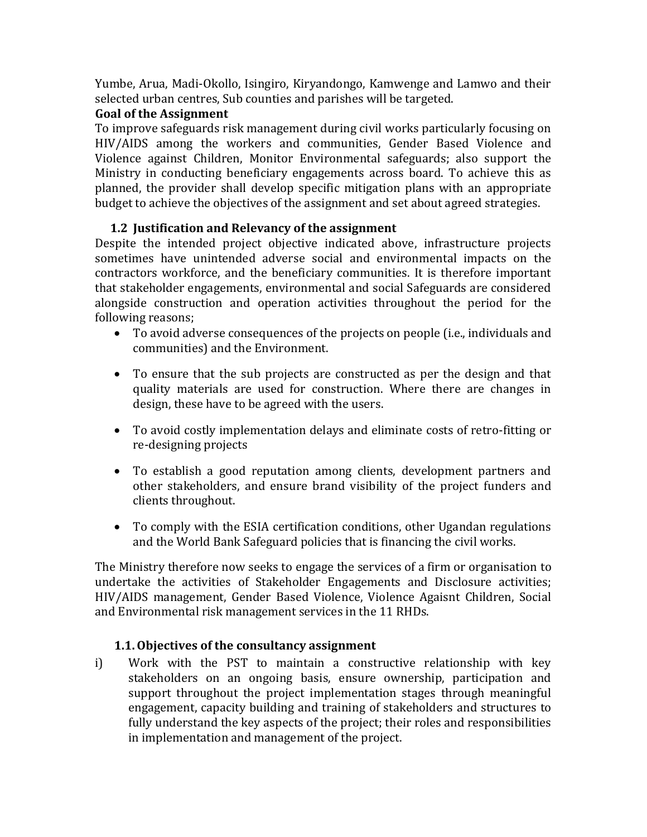Yumbe, Arua, Madi-Okollo, Isingiro, Kiryandongo, Kamwenge and Lamwo and their selected urban centres, Sub counties and parishes will be targeted.

## **Goal of the Assignment**

To improve safeguards risk management during civil works particularly focusing on HIV/AIDS among the workers and communities, Gender Based Violence and Violence against Children, Monitor Environmental safeguards; also support the Ministry in conducting beneficiary engagements across board. To achieve this as planned, the provider shall develop specific mitigation plans with an appropriate budget to achieve the objectives of the assignment and set about agreed strategies.

# **1.2 Justification and Relevancy of the assignment**

Despite the intended project objective indicated above, infrastructure projects sometimes have unintended adverse social and environmental impacts on the contractors workforce, and the beneficiary communities. It is therefore important that stakeholder engagements, environmental and social Safeguards are considered alongside construction and operation activities throughout the period for the following reasons;

- To avoid adverse consequences of the projects on people (i.e., individuals and communities) and the Environment.
- To ensure that the sub projects are constructed as per the design and that quality materials are used for construction. Where there are changes in design, these have to be agreed with the users.
- To avoid costly implementation delays and eliminate costs of retro-fitting or re-designing projects
- To establish a good reputation among clients, development partners and other stakeholders, and ensure brand visibility of the project funders and clients throughout.
- To comply with the ESIA certification conditions, other Ugandan regulations and the World Bank Safeguard policies that is financing the civil works.

The Ministry therefore now seeks to engage the services of a firm or organisation to undertake the activities of Stakeholder Engagements and Disclosure activities; HIV/AIDS management, Gender Based Violence, Violence Agaisnt Children, Social and Environmental risk management services in the 11 RHDs.

## **1.1.Objectives of the consultancy assignment**

i) Work with the PST to maintain a constructive relationship with key stakeholders on an ongoing basis, ensure ownership, participation and support throughout the project implementation stages through meaningful engagement, capacity building and training of stakeholders and structures to fully understand the key aspects of the project; their roles and responsibilities in implementation and management of the project.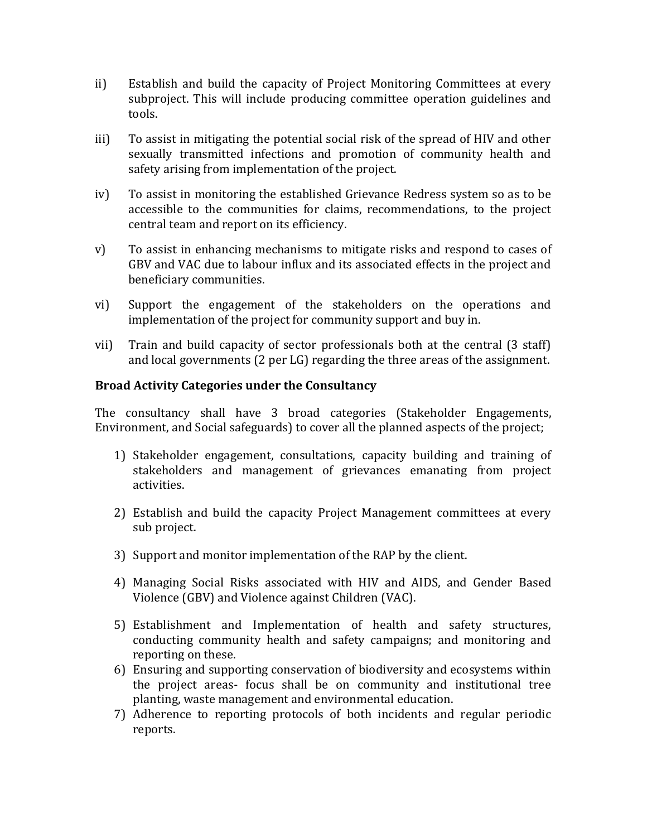- ii) Establish and build the capacity of Project Monitoring Committees at every subproject. This will include producing committee operation guidelines and tools.
- iii) To assist in mitigating the potential social risk of the spread of HIV and other sexually transmitted infections and promotion of community health and safety arising from implementation of the project.
- iv) To assist in monitoring the established Grievance Redress system so as to be accessible to the communities for claims, recommendations, to the project central team and report on its efficiency.
- v) To assist in enhancing mechanisms to mitigate risks and respond to cases of GBV and VAC due to labour influx and its associated effects in the project and beneficiary communities.
- vi) Support the engagement of the stakeholders on the operations and implementation of the project for community support and buy in.
- vii) Train and build capacity of sector professionals both at the central (3 staff) and local governments (2 per LG) regarding the three areas of the assignment.

#### **Broad Activity Categories under the Consultancy**

The consultancy shall have 3 broad categories (Stakeholder Engagements, Environment, and Social safeguards) to cover all the planned aspects of the project;

- 1) Stakeholder engagement, consultations, capacity building and training of stakeholders and management of grievances emanating from project activities.
- 2) Establish and build the capacity Project Management committees at every sub project.
- 3) Support and monitor implementation of the RAP by the client.
- 4) Managing Social Risks associated with HIV and AIDS, and Gender Based Violence (GBV) and Violence against Children (VAC).
- 5) Establishment and Implementation of health and safety structures, conducting community health and safety campaigns; and monitoring and reporting on these.
- 6) Ensuring and supporting conservation of biodiversity and ecosystems within the project areas- focus shall be on community and institutional tree planting, waste management and environmental education.
- 7) Adherence to reporting protocols of both incidents and regular periodic reports.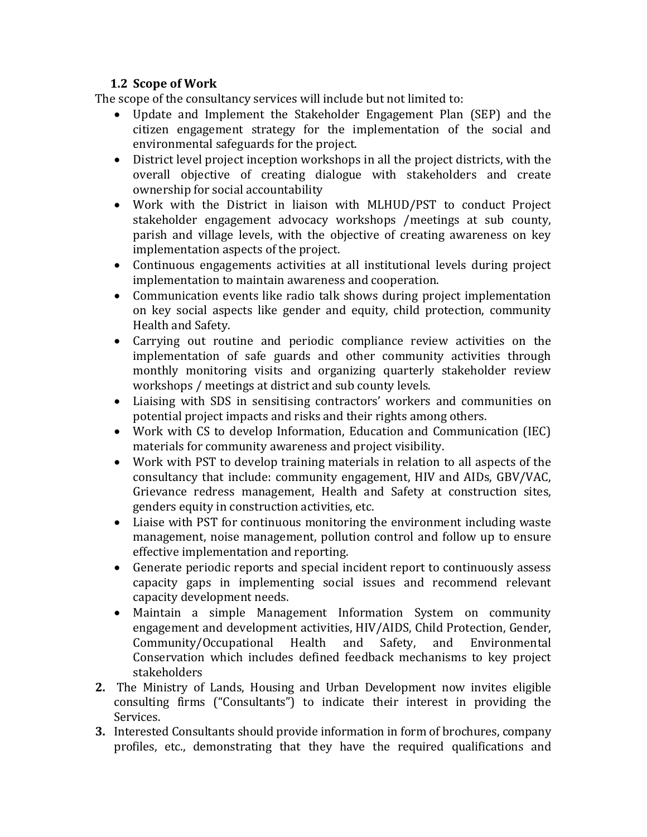## **1.2 Scope of Work**

The scope of the consultancy services will include but not limited to:

- Update and Implement the Stakeholder Engagement Plan (SEP) and the citizen engagement strategy for the implementation of the social and environmental safeguards for the project.
- District level project inception workshops in all the project districts, with the overall objective of creating dialogue with stakeholders and create ownership for social accountability
- Work with the District in liaison with MLHUD/PST to conduct Project stakeholder engagement advocacy workshops /meetings at sub county, parish and village levels, with the objective of creating awareness on key implementation aspects of the project.
- Continuous engagements activities at all institutional levels during project implementation to maintain awareness and cooperation.
- Communication events like radio talk shows during project implementation on key social aspects like gender and equity, child protection, community Health and Safety.
- Carrying out routine and periodic compliance review activities on the implementation of safe guards and other community activities through monthly monitoring visits and organizing quarterly stakeholder review workshops / meetings at district and sub county levels.
- Liaising with SDS in sensitising contractors' workers and communities on potential project impacts and risks and their rights among others.
- Work with CS to develop Information, Education and Communication (IEC) materials for community awareness and project visibility.
- Work with PST to develop training materials in relation to all aspects of the consultancy that include: community engagement, HIV and AIDs, GBV/VAC, Grievance redress management, Health and Safety at construction sites, genders equity in construction activities, etc.
- Liaise with PST for continuous monitoring the environment including waste management, noise management, pollution control and follow up to ensure effective implementation and reporting.
- Generate periodic reports and special incident report to continuously assess capacity gaps in implementing social issues and recommend relevant capacity development needs.
- Maintain a simple Management Information System on community engagement and development activities, HIV/AIDS, Child Protection, Gender, Community/Occupational Health and Safety, and Environmental Conservation which includes defined feedback mechanisms to key project stakeholders
- **2.** The Ministry of Lands, Housing and Urban Development now invites eligible consulting firms ("Consultants") to indicate their interest in providing the Services.
- **3.** Interested Consultants should provide information in form of brochures, company profiles, etc., demonstrating that they have the required qualifications and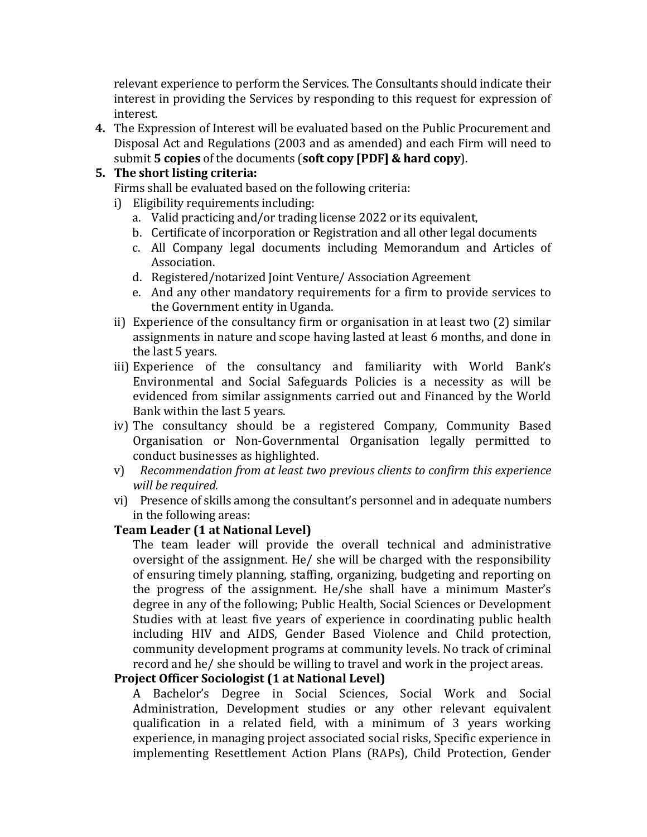relevant experience to perform the Services. The Consultants should indicate their interest in providing the Services by responding to this request for expression of interest.

**4.** The Expression of Interest will be evaluated based on the Public Procurement and Disposal Act and Regulations (2003 and as amended) and each Firm will need to submit **5 copies** of the documents (**soft copy [PDF] & hard copy**).

## **5. The short listing criteria:**

Firms shall be evaluated based on the following criteria:

- i) Eligibility requirements including:
	- a. Valid practicing and/or trading license 2022 or its equivalent,
	- b. Certificate of incorporation or Registration and all other legal documents
	- c. All Company legal documents including Memorandum and Articles of Association.
	- d. Registered/notarized Joint Venture/ Association Agreement
	- e. And any other mandatory requirements for a firm to provide services to the Government entity in Uganda.
- ii) Experience of the consultancy firm or organisation in at least two (2) similar assignments in nature and scope having lasted at least 6 months, and done in the last 5 years.
- iii) Experience of the consultancy and familiarity with World Bank's Environmental and Social Safeguards Policies is a necessity as will be evidenced from similar assignments carried out and Financed by the World Bank within the last 5 years.
- iv) The consultancy should be a registered Company, Community Based Organisation or Non-Governmental Organisation legally permitted to conduct businesses as highlighted.
- v) *Recommendation from at least two previous clients to confirm this experience will be required.*
- vi) Presence of skills among the consultant's personnel and in adequate numbers in the following areas:

#### **Team Leader (1 at National Level)**

The team leader will provide the overall technical and administrative oversight of the assignment. He/ she will be charged with the responsibility of ensuring timely planning, staffing, organizing, budgeting and reporting on the progress of the assignment. He/she shall have a minimum Master's degree in any of the following; Public Health, Social Sciences or Development Studies with at least five years of experience in coordinating public health including HIV and AIDS, Gender Based Violence and Child protection, community development programs at community levels. No track of criminal record and he/ she should be willing to travel and work in the project areas.

#### **Project Officer Sociologist (1 at National Level)**

A Bachelor's Degree in Social Sciences, Social Work and Social Administration, Development studies or any other relevant equivalent qualification in a related field, with a minimum of 3 years working experience, in managing project associated social risks, Specific experience in implementing Resettlement Action Plans (RAPs), Child Protection, Gender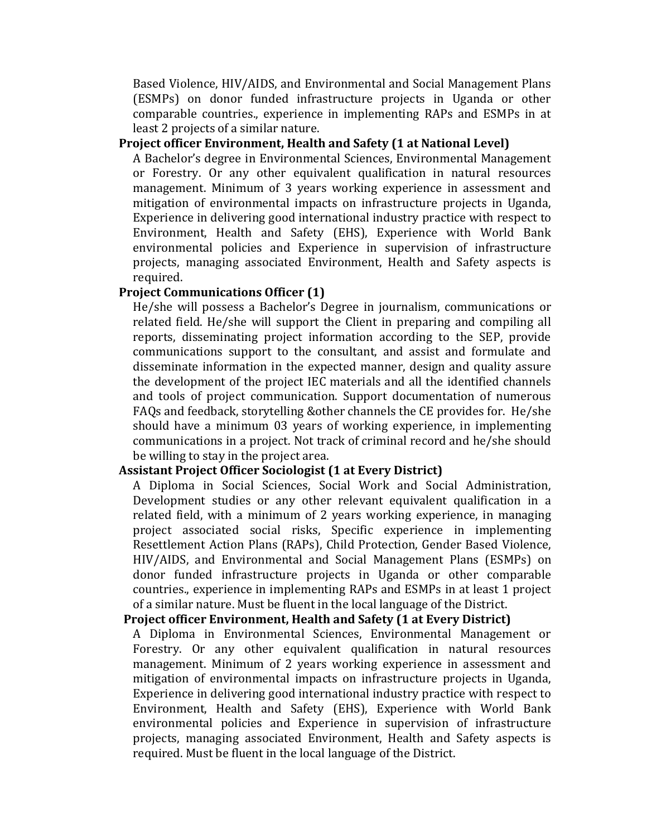Based Violence, HIV/AIDS, and Environmental and Social Management Plans (ESMPs) on donor funded infrastructure projects in Uganda or other comparable countries., experience in implementing RAPs and ESMPs in at least 2 projects of a similar nature.

#### **Project officer Environment, Health and Safety (1 at National Level)**

A Bachelor's degree in Environmental Sciences, Environmental Management or Forestry. Or any other equivalent qualification in natural resources management. Minimum of 3 years working experience in assessment and mitigation of environmental impacts on infrastructure projects in Uganda, Experience in delivering good international industry practice with respect to Environment, Health and Safety (EHS), Experience with World Bank environmental policies and Experience in supervision of infrastructure projects, managing associated Environment, Health and Safety aspects is required.

#### **Project Communications Officer (1)**

He/she will possess a Bachelor's Degree in journalism, communications or related field. He/she will support the Client in preparing and compiling all reports, disseminating project information according to the SEP, provide communications support to the consultant, and assist and formulate and disseminate information in the expected manner, design and quality assure the development of the project IEC materials and all the identified channels and tools of project communication. Support documentation of numerous FAQs and feedback, storytelling &other channels the CE provides for. He/she should have a minimum 03 years of working experience, in implementing communications in a project. Not track of criminal record and he/she should be willing to stay in the project area.

#### **Assistant Project Officer Sociologist (1 at Every District)**

A Diploma in Social Sciences, Social Work and Social Administration, Development studies or any other relevant equivalent qualification in a related field, with a minimum of 2 years working experience, in managing project associated social risks, Specific experience in implementing Resettlement Action Plans (RAPs), Child Protection, Gender Based Violence, HIV/AIDS, and Environmental and Social Management Plans (ESMPs) on donor funded infrastructure projects in Uganda or other comparable countries., experience in implementing RAPs and ESMPs in at least 1 project of a similar nature. Must be fluent in the local language of the District.

#### **Project officer Environment, Health and Safety (1 at Every District)**

A Diploma in Environmental Sciences, Environmental Management or Forestry. Or any other equivalent qualification in natural resources management. Minimum of 2 years working experience in assessment and mitigation of environmental impacts on infrastructure projects in Uganda, Experience in delivering good international industry practice with respect to Environment, Health and Safety (EHS), Experience with World Bank environmental policies and Experience in supervision of infrastructure projects, managing associated Environment, Health and Safety aspects is required. Must be fluent in the local language of the District.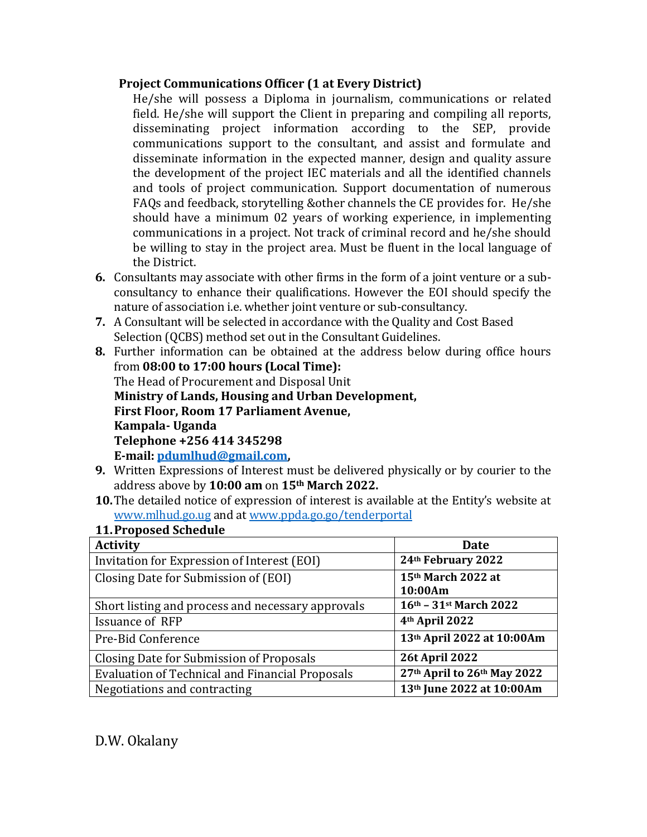#### **Project Communications Officer (1 at Every District)**

He/she will possess a Diploma in journalism, communications or related field. He/she will support the Client in preparing and compiling all reports, disseminating project information according to the SEP, provide communications support to the consultant, and assist and formulate and disseminate information in the expected manner, design and quality assure the development of the project IEC materials and all the identified channels and tools of project communication. Support documentation of numerous FAQs and feedback, storytelling &other channels the CE provides for. He/she should have a minimum 02 years of working experience, in implementing communications in a project. Not track of criminal record and he/she should be willing to stay in the project area. Must be fluent in the local language of the District.

- **6.** Consultants may associate with other firms in the form of a joint venture or a subconsultancy to enhance their qualifications. However the EOI should specify the nature of association i.e. whether joint venture or sub-consultancy.
- **7.** A Consultant will be selected in accordance with the Quality and Cost Based Selection (QCBS) method set out in the Consultant Guidelines.
- **8.** Further information can be obtained at the address below during office hours from **08:00 to 17:00 hours (Local Time):** The Head of Procurement and Disposal Unit **Ministry of Lands, Housing and Urban Development, First Floor, Room 17 Parliament Avenue, Kampala- Uganda Telephone +256 414 345298 E-mail[: pdumlhud@gmail.com,](mailto:pdumlhud@gmail.com)**
- **9.** Written Expressions of Interest must be delivered physically or by courier to the address above by **10:00 am** on **15th March 2022.**
- **10.**The detailed notice of expression of interest is available at the Entity's website at [www.mlhud.go.ug](http://www.mlhud.go.ug/) and at [www.ppda.go.go/tenderportal](http://www.ppda.go.go/tenderportal)

#### **11.Proposed Schedule**

| <b>Activity</b>                                        | Date                          |
|--------------------------------------------------------|-------------------------------|
| Invitation for Expression of Interest (EOI)            | 24th February 2022            |
| Closing Date for Submission of (EOI)                   | 15th March 2022 at<br>10:00Am |
| Short listing and process and necessary approvals      | 16th - 31st March 2022        |
| <b>Issuance of RFP</b>                                 | 4 <sup>th</sup> April 2022    |
| Pre-Bid Conference                                     | 13th April 2022 at 10:00Am    |
| Closing Date for Submission of Proposals               | <b>26t April 2022</b>         |
| <b>Evaluation of Technical and Financial Proposals</b> | 27th April to 26th May 2022   |
| Negotiations and contracting                           | 13th June 2022 at 10:00Am     |

# D.W. Okalany